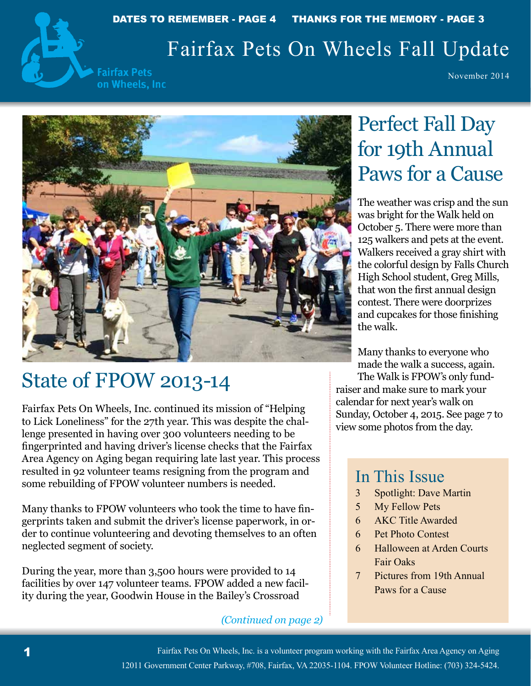

## Fairfax Pets On Wheels Fall Update

**Fairfax Pets** on Wheels, Inc

November 2014



## State of FPOW 2013-14

Fairfax Pets On Wheels, Inc. continued its mission of "Helping to Lick Loneliness" for the 27th year. This was despite the challenge presented in having over 300 volunteers needing to be fingerprinted and having driver's license checks that the Fairfax Area Agency on Aging began requiring late last year. This process resulted in 92 volunteer teams resigning from the program and some rebuilding of FPOW volunteer numbers is needed.

Many thanks to FPOW volunteers who took the time to have fingerprints taken and submit the driver's license paperwork, in order to continue volunteering and devoting themselves to an often neglected segment of society.

During the year, more than 3,500 hours were provided to 14 facilities by over 147 volunteer teams. FPOW added a new facility during the year, Goodwin House in the Bailey's Crossroad

#### *(Continued on page 2)*

# Perfect Fall Day for 19th Annual Paws for a Cause

The weather was crisp and the sun was bright for the Walk held on October 5. There were more than 125 walkers and pets at the event. Walkers received a gray shirt with the colorful design by Falls Church High School student, Greg Mills, that won the first annual design contest. There were doorprizes and cupcakes for those finishing the walk.

Many thanks to everyone who made the walk a success, again.

The Walk is FPOW's only fundraiser and make sure to mark your calendar for next year's walk on Sunday, October 4, 2015. See page 7 to view some photos from the day.

### In This Issue

- 3 Spotlight: Dave Martin
- 5 My Fellow Pets
- 6 AKC Title Awarded
- 6 Pet Photo Contest
- 6 Halloween at Arden Courts Fair Oaks
- 7 Pictures from 19th Annual Paws for a Cause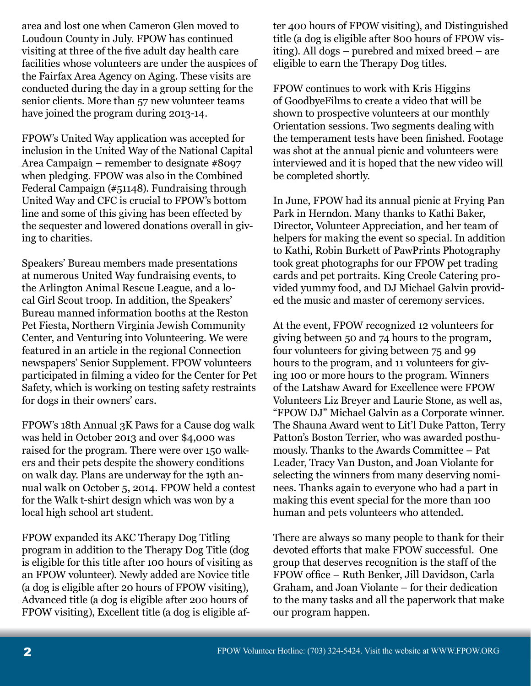area and lost one when Cameron Glen moved to Loudoun County in July. FPOW has continued visiting at three of the five adult day health care facilities whose volunteers are under the auspices of the Fairfax Area Agency on Aging. These visits are conducted during the day in a group setting for the senior clients. More than 57 new volunteer teams have joined the program during 2013-14.

FPOW's United Way application was accepted for inclusion in the United Way of the National Capital Area Campaign – remember to designate #8097 when pledging. FPOW was also in the Combined Federal Campaign (#51148). Fundraising through United Way and CFC is crucial to FPOW's bottom line and some of this giving has been effected by the sequester and lowered donations overall in giving to charities.

Speakers' Bureau members made presentations at numerous United Way fundraising events, to the Arlington Animal Rescue League, and a local Girl Scout troop. In addition, the Speakers' Bureau manned information booths at the Reston Pet Fiesta, Northern Virginia Jewish Community Center, and Venturing into Volunteering. We were featured in an article in the regional Connection newspapers' Senior Supplement. FPOW volunteers participated in filming a video for the Center for Pet Safety, which is working on testing safety restraints for dogs in their owners' cars.

FPOW's 18th Annual 3K Paws for a Cause dog walk was held in October 2013 and over \$4,000 was raised for the program. There were over 150 walkers and their pets despite the showery conditions on walk day. Plans are underway for the 19th annual walk on October 5, 2014. FPOW held a contest for the Walk t-shirt design which was won by a local high school art student.

FPOW expanded its AKC Therapy Dog Titling program in addition to the Therapy Dog Title (dog is eligible for this title after 100 hours of visiting as an FPOW volunteer). Newly added are Novice title (a dog is eligible after 20 hours of FPOW visiting), Advanced title (a dog is eligible after 200 hours of FPOW visiting), Excellent title (a dog is eligible af-

ter 400 hours of FPOW visiting), and Distinguished title (a dog is eligible after 800 hours of FPOW visiting). All dogs – purebred and mixed breed – are eligible to earn the Therapy Dog titles.

FPOW continues to work with Kris Higgins of GoodbyeFilms to create a video that will be shown to prospective volunteers at our monthly Orientation sessions. Two segments dealing with the temperament tests have been finished. Footage was shot at the annual picnic and volunteers were interviewed and it is hoped that the new video will be completed shortly.

In June, FPOW had its annual picnic at Frying Pan Park in Herndon. Many thanks to Kathi Baker, Director, Volunteer Appreciation, and her team of helpers for making the event so special. In addition to Kathi, Robin Burkett of PawPrints Photography took great photographs for our FPOW pet trading cards and pet portraits. King Creole Catering provided yummy food, and DJ Michael Galvin provided the music and master of ceremony services.

At the event, FPOW recognized 12 volunteers for giving between 50 and 74 hours to the program, four volunteers for giving between 75 and 99 hours to the program, and 11 volunteers for giving 100 or more hours to the program. Winners of the Latshaw Award for Excellence were FPOW Volunteers Liz Breyer and Laurie Stone, as well as, "FPOW DJ" Michael Galvin as a Corporate winner. The Shauna Award went to Lit'l Duke Patton, Terry Patton's Boston Terrier, who was awarded posthumously. Thanks to the Awards Committee – Pat Leader, Tracy Van Duston, and Joan Violante for selecting the winners from many deserving nominees. Thanks again to everyone who had a part in making this event special for the more than 100 human and pets volunteers who attended.

There are always so many people to thank for their devoted efforts that make FPOW successful. One group that deserves recognition is the staff of the FPOW office – Ruth Benker, Jill Davidson, Carla Graham, and Joan Violante – for their dedication to the many tasks and all the paperwork that make our program happen.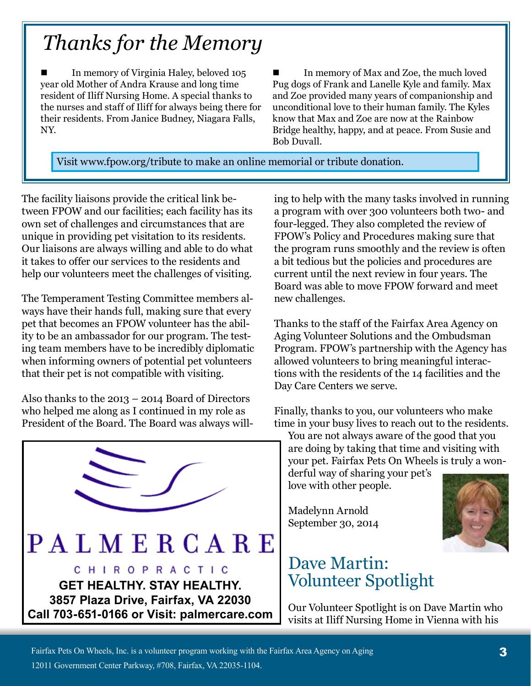# *Thanks for the Memory*

 In memory of Virginia Haley, beloved 105 year old Mother of Andra Krause and long time resident of Iliff Nursing Home. A special thanks to the nurses and staff of Iliff for always being there for their residents. From Janice Budney, Niagara Falls, NY.

 In memory of Max and Zoe, the much loved Pug dogs of Frank and Lanelle Kyle and family. Max and Zoe provided many years of companionship and unconditional love to their human family. The Kyles know that Max and Zoe are now at the Rainbow Bridge healthy, happy, and at peace. From Susie and Bob Duvall.

Visit www.fpow.org/tribute to make an online memorial or tribute donation.

The facility liaisons provide the critical link between FPOW and our facilities; each facility has its own set of challenges and circumstances that are unique in providing pet visitation to its residents. Our liaisons are always willing and able to do what it takes to offer our services to the residents and help our volunteers meet the challenges of visiting.

The Temperament Testing Committee members always have their hands full, making sure that every pet that becomes an FPOW volunteer has the ability to be an ambassador for our program. The testing team members have to be incredibly diplomatic when informing owners of potential pet volunteers that their pet is not compatible with visiting.

Also thanks to the 2013 – 2014 Board of Directors who helped me along as I continued in my role as President of the Board. The Board was always will-



ing to help with the many tasks involved in running a program with over 300 volunteers both two- and four-legged. They also completed the review of FPOW's Policy and Procedures making sure that the program runs smoothly and the review is often a bit tedious but the policies and procedures are current until the next review in four years. The Board was able to move FPOW forward and meet new challenges.

Thanks to the staff of the Fairfax Area Agency on Aging Volunteer Solutions and the Ombudsman Program. FPOW's partnership with the Agency has allowed volunteers to bring meaningful interactions with the residents of the 14 facilities and the Day Care Centers we serve.

Finally, thanks to you, our volunteers who make time in your busy lives to reach out to the residents.

You are not always aware of the good that you are doing by taking that time and visiting with your pet. Fairfax Pets On Wheels is truly a won-

derful way of sharing your pet's love with other people.

Madelynn Arnold September 30, 2014



Our Volunteer Spotlight is on Dave Martin who visits at Iliff Nursing Home in Vienna with his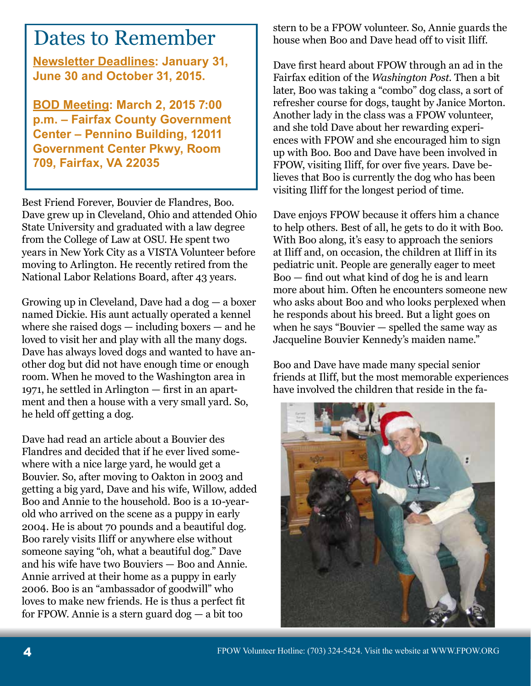## Dates to Remember

**Newsletter Deadlines: January 31, June 30 and October 31, 2015.**

**BOD Meeting: March 2, 2015 7:00 p.m. – Fairfax County Government Center – Pennino Building, 12011 Government Center Pkwy, Room 709, Fairfax, VA 22035**

Best Friend Forever, Bouvier de Flandres, Boo. Dave grew up in Cleveland, Ohio and attended Ohio State University and graduated with a law degree from the College of Law at OSU. He spent two years in New York City as a VISTA Volunteer before moving to Arlington. He recently retired from the National Labor Relations Board, after 43 years.

Growing up in Cleveland, Dave had a dog — a boxer named Dickie. His aunt actually operated a kennel where she raised dogs — including boxers — and he loved to visit her and play with all the many dogs. Dave has always loved dogs and wanted to have another dog but did not have enough time or enough room. When he moved to the Washington area in 1971, he settled in Arlington — first in an apartment and then a house with a very small yard. So, he held off getting a dog.

Dave had read an article about a Bouvier des Flandres and decided that if he ever lived somewhere with a nice large yard, he would get a Bouvier. So, after moving to Oakton in 2003 and getting a big yard, Dave and his wife, Willow, added Boo and Annie to the household. Boo is a 10-yearold who arrived on the scene as a puppy in early 2004. He is about 70 pounds and a beautiful dog. Boo rarely visits Iliff or anywhere else without someone saying "oh, what a beautiful dog." Dave and his wife have two Bouviers — Boo and Annie. Annie arrived at their home as a puppy in early 2006. Boo is an "ambassador of goodwill" who loves to make new friends. He is thus a perfect fit for FPOW. Annie is a stern guard dog — a bit too

stern to be a FPOW volunteer. So, Annie guards the house when Boo and Dave head off to visit Iliff.

Dave first heard about FPOW through an ad in the Fairfax edition of the *Washington Post*. Then a bit later, Boo was taking a "combo" dog class, a sort of refresher course for dogs, taught by Janice Morton. Another lady in the class was a FPOW volunteer, and she told Dave about her rewarding experiences with FPOW and she encouraged him to sign up with Boo. Boo and Dave have been involved in FPOW, visiting Iliff, for over five years. Dave believes that Boo is currently the dog who has been visiting Iliff for the longest period of time.

Dave enjoys FPOW because it offers him a chance to help others. Best of all, he gets to do it with Boo. With Boo along, it's easy to approach the seniors at Iliff and, on occasion, the children at Iliff in its pediatric unit. People are generally eager to meet Boo — find out what kind of dog he is and learn more about him. Often he encounters someone new who asks about Boo and who looks perplexed when he responds about his breed. But a light goes on when he says "Bouvier  $-$  spelled the same way as Jacqueline Bouvier Kennedy's maiden name."

Boo and Dave have made many special senior friends at Iliff, but the most memorable experiences have involved the children that reside in the fa-

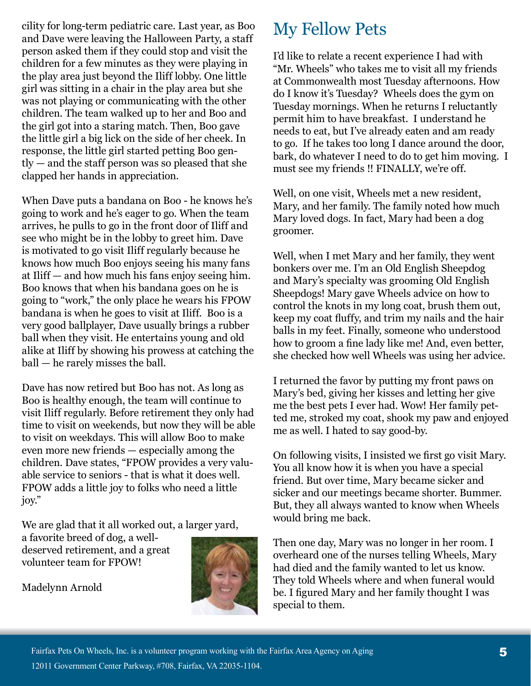cility for long-term pediatric care. Last year, as Boo and Dave were leaving the Halloween Party, a staff person asked them if they could stop and visit the children for a few minutes as they were playing in the play area just beyond the Iliff lobby. One little girl was sitting in a chair in the play area but she was not playing or communicating with the other children. The team walked up to her and Boo and the girl got into a staring match. Then, Boo gave the little girl a big lick on the side of her cheek. In response, the little girl started petting Boo gently — and the staff person was so pleased that she clapped her hands in appreciation.

When Dave puts a bandana on Boo - he knows he's going to work and he's eager to go. When the team arrives, he pulls to go in the front door of Iliff and see who might be in the lobby to greet him. Dave is motivated to go visit Iliff regularly because he knows how much Boo enjoys seeing his many fans at Iliff — and how much his fans enjoy seeing him. Boo knows that when his bandana goes on he is going to "work," the only place he wears his FPOW bandana is when he goes to visit at Iliff. Boo is a very good ballplayer, Dave usually brings a rubber ball when they visit. He entertains young and old alike at Iliff by showing his prowess at catching the ball — he rarely misses the ball.

Dave has now retired but Boo has not. As long as Boo is healthy enough, the team will continue to visit Iliff regularly. Before retirement they only had time to visit on weekends, but now they will be able to visit on weekdays. This will allow Boo to make even more new friends — especially among the children. Dave states, "FPOW provides a very valuable service to seniors - that is what it does well. FPOW adds a little joy to folks who need a little joy."

We are glad that it all worked out, a larger yard,

a favorite breed of dog, a welldeserved retirement, and a great volunteer team for FPOW!



Madelynn Arnold

## My Fellow Pets

I'd like to relate a recent experience I had with "Mr. Wheels" who takes me to visit all my friends at Commonwealth most Tuesday afternoons. How do I know it's Tuesday? Wheels does the gym on Tuesday mornings. When he returns I reluctantly permit him to have breakfast. I understand he needs to eat, but I've already eaten and am ready to go. If he takes too long I dance around the door, bark, do whatever I need to do to get him moving. I must see my friends !! FINALLY, we're off.

Well, on one visit, Wheels met a new resident, Mary, and her family. The family noted how much Mary loved dogs. In fact, Mary had been a dog groomer.

Well, when I met Mary and her family, they went bonkers over me. I'm an Old English Sheepdog and Mary's specialty was grooming Old English Sheepdogs! Mary gave Wheels advice on how to control the knots in my long coat, brush them out, keep my coat fluffy, and trim my nails and the hair balls in my feet. Finally, someone who understood how to groom a fine lady like me! And, even better, she checked how well Wheels was using her advice.

I returned the favor by putting my front paws on Mary's bed, giving her kisses and letting her give me the best pets I ever had. Wow! Her family petted me, stroked my coat, shook my paw and enjoyed me as well. I hated to say good-by.

On following visits, I insisted we first go visit Mary. You all know how it is when you have a special friend. But over time, Mary became sicker and sicker and our meetings became shorter. Bummer. But, they all always wanted to know when Wheels would bring me back.

Then one day, Mary was no longer in her room. I overheard one of the nurses telling Wheels, Mary had died and the family wanted to let us know. They told Wheels where and when funeral would be. I figured Mary and her family thought I was special to them.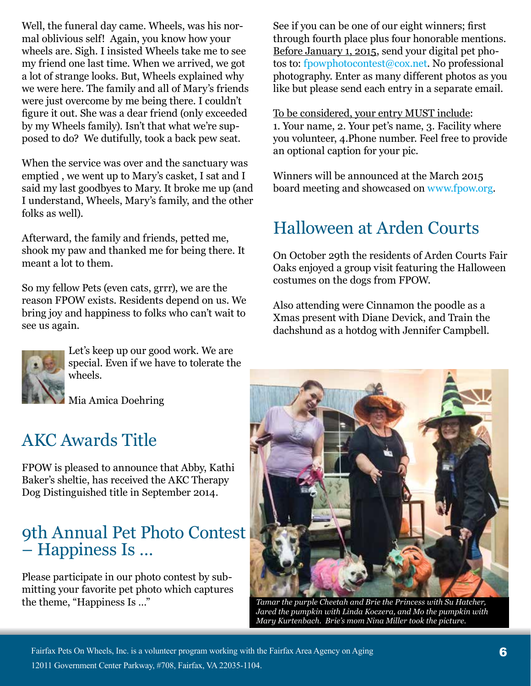Well, the funeral day came. Wheels, was his normal oblivious self! Again, you know how your wheels are. Sigh. I insisted Wheels take me to see my friend one last time. When we arrived, we got a lot of strange looks. But, Wheels explained why we were here. The family and all of Mary's friends were just overcome by me being there. I couldn't figure it out. She was a dear friend (only exceeded by my Wheels family). Isn't that what we're supposed to do? We dutifully, took a back pew seat.

When the service was over and the sanctuary was emptied , we went up to Mary's casket, I sat and I said my last goodbyes to Mary. It broke me up (and I understand, Wheels, Mary's family, and the other folks as well).

Afterward, the family and friends, petted me, shook my paw and thanked me for being there. It meant a lot to them.

So my fellow Pets (even cats, grrr), we are the reason FPOW exists. Residents depend on us. We bring joy and happiness to folks who can't wait to see us again.



Let's keep up our good work. We are special. Even if we have to tolerate the wheels.

Mia Amica Doehring

### AKC Awards Title

FPOW is pleased to announce that Abby, Kathi Baker's sheltie, has received the AKC Therapy Dog Distinguished title in September 2014.

### 9th Annual Pet Photo Contest – Happiness Is …

Please participate in our photo contest by submitting your favorite pet photo which captures the theme, "Happiness Is …"

See if you can be one of our eight winners; first through fourth place plus four honorable mentions. Before January 1, 2015, send your digital pet photos to: fpowphotocontest@cox.net. No professional photography. Enter as many different photos as you like but please send each entry in a separate email.

To be considered, your entry MUST include: 1. Your name, 2. Your pet's name, 3. Facility where you volunteer, 4.Phone number. Feel free to provide an optional caption for your pic.

Winners will be announced at the March 2015 board meeting and showcased on www.fpow.org.

### Halloween at Arden Courts

On October 29th the residents of Arden Courts Fair Oaks enjoyed a group visit featuring the Halloween costumes on the dogs from FPOW.

Also attending were Cinnamon the poodle as a Xmas present with Diane Devick, and Train the dachshund as a hotdog with Jennifer Campbell.



*Tamar the purple Cheetah and Brie the Princess with Su Hatcher, Jared the pumpkin with Linda Koczera, and Mo the pumpkin with Mary Kurtenbach. Brie's mom Nina Miller took the picture.*

Fairfax Pets On Wheels, Inc. is a volunteer program working with the Fairfax Area Agency on Aging 12011 Government Center Parkway, #708, Fairfax, VA 22035-1104.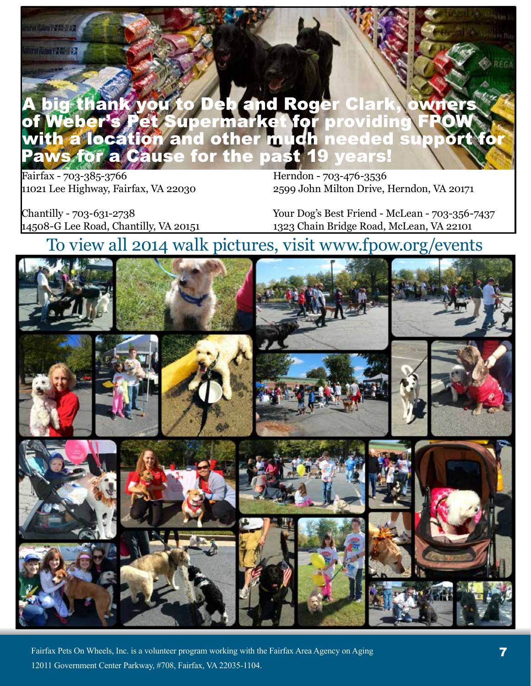#### big thank you to Deb and Roger Clark, er's Pet Supermarket for providing<br>location and other much needed s 20 leber **SU** pport **Cause for the past 19 years! ffor**  $\overline{a}$

Fairfax - 703-385-3766 11021 Lee Highway, Fairfax, VA 22030

ural (bäng?#1332)

firmi Saver 24 - 12

Herndon - 703-476-3536 2599 John Milton Drive, Herndon, VA 20171

Chantilly - 703-631-2738 14508-G Lee Road, Chantilly, VA 20151

Your Dog's Best Friend - McLean - 703-356-7437 1323 Chain Bridge Road, McLean, VA 22101

### To view all 2014 walk pictures, visit www.fpow.org/events



Fairfax Pets On Wheels, Inc. is a volunteer program working with the Fairfax Area Agency on Aging 12011 Government Center Parkway, #708, Fairfax, VA 22035-1104.